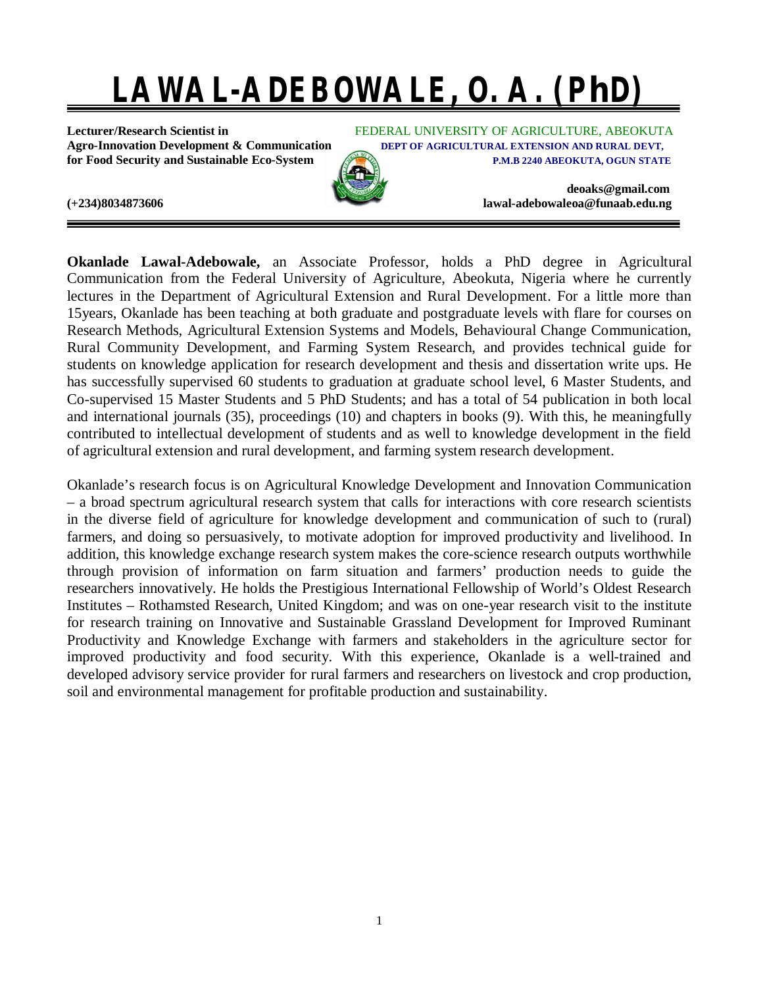# **LAWAL-ADEBOWALE, O. A. (PhD)**

**for Food Security and Sustainable Eco-System <b>P.M.B 2240 ABEOKUTA, OGUN STATE** 

**Lecturer/Research Scientist in** FEDERAL UNIVERSITY OF AGRICULTURE, ABEOKUTA **Agro-Innovation Development & Communication DEPT OF AGRICULTURAL EXTENSION AND RURAL DEVT,**

**[deoaks@gmail.com](mailto:deoaks@gmail.com)**



**(+234)8034873606 [lawal-adebowaleoa@funaab.edu.ng](mailto:lawal-adebowaleoa@funaab.edu.ng)**

**Okanlade Lawal-Adebowale,** an Associate Professor, holds a PhD degree in Agricultural Communication from the Federal University of Agriculture, Abeokuta, Nigeria where he currently lectures in the Department of Agricultural Extension and Rural Development. For a little more than 15years, Okanlade has been teaching at both graduate and postgraduate levels with flare for courses on Research Methods, Agricultural Extension Systems and Models, Behavioural Change Communication, Rural Community Development, and Farming System Research, and provides technical guide for students on knowledge application for research development and thesis and dissertation write ups. He has successfully supervised 60 students to graduation at graduate school level, 6 Master Students, and Co-supervised 15 Master Students and 5 PhD Students; and has a total of 54 publication in both local and international journals (35), proceedings (10) and chapters in books (9). With this, he meaningfully contributed to intellectual development of students and as well to knowledge development in the field of agricultural extension and rural development, and farming system research development.

Okanlade's research focus is on Agricultural Knowledge Development and Innovation Communication – a broad spectrum agricultural research system that calls for interactions with core research scientists in the diverse field of agriculture for knowledge development and communication of such to (rural) farmers, and doing so persuasively, to motivate adoption for improved productivity and livelihood. In addition, this knowledge exchange research system makes the core-science research outputs worthwhile through provision of information on farm situation and farmers' production needs to guide the researchers innovatively. He holds the Prestigious International Fellowship of World's Oldest Research Institutes – Rothamsted Research, United Kingdom; and was on one-year research visit to the institute for research training on Innovative and Sustainable Grassland Development for Improved Ruminant Productivity and Knowledge Exchange with farmers and stakeholders in the agriculture sector for improved productivity and food security. With this experience, Okanlade is a well-trained and developed advisory service provider for rural farmers and researchers on livestock and crop production, soil and environmental management for profitable production and sustainability.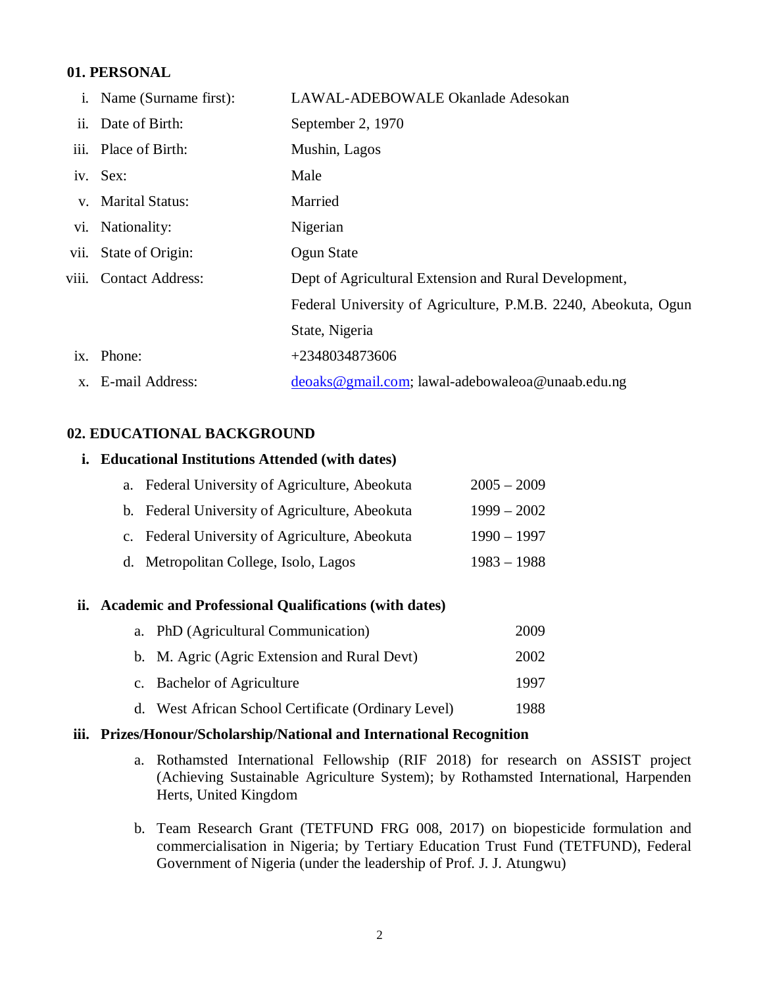## **01. PERSONAL**

| Name (Surname first): | LAWAL-ADEBOWALE Okanlade Adesokan                                                                                                                                                   |
|-----------------------|-------------------------------------------------------------------------------------------------------------------------------------------------------------------------------------|
|                       | September 2, 1970                                                                                                                                                                   |
|                       | Mushin, Lagos                                                                                                                                                                       |
|                       | Male                                                                                                                                                                                |
|                       | Married                                                                                                                                                                             |
|                       | Nigerian                                                                                                                                                                            |
|                       | Ogun State                                                                                                                                                                          |
|                       | Dept of Agricultural Extension and Rural Development,                                                                                                                               |
|                       | Federal University of Agriculture, P.M.B. 2240, Abeokuta, Ogun                                                                                                                      |
|                       | State, Nigeria                                                                                                                                                                      |
|                       | +2348034873606                                                                                                                                                                      |
|                       | deoaks@gmail.com; lawal-adebowaleoa@unaab.edu.ng                                                                                                                                    |
|                       | Date of Birth:<br>iii. Place of Birth:<br>iv. Sex:<br>v. Marital Status:<br>vi. Nationality:<br>vii. State of Origin:<br>viii. Contact Address:<br>ix. Phone:<br>x. E-mail Address: |

## **02. EDUCATIONAL BACKGROUND**

#### **i. Educational Institutions Attended (with dates)**

| a. Federal University of Agriculture, Abeokuta | $2005 - 2009$ |
|------------------------------------------------|---------------|
| b. Federal University of Agriculture, Abeokuta | $1999 - 2002$ |
| c. Federal University of Agriculture, Abeokuta | $1990 - 1997$ |
| d. Metropolitan College, Isolo, Lagos          | $1983 - 1988$ |

## **ii. Academic and Professional Qualifications (with dates)**

| a. PhD (Agricultural Communication)                 | 2009 |
|-----------------------------------------------------|------|
| b. M. Agric (Agric Extension and Rural Devt)        | 2002 |
| c. Bachelor of Agriculture                          | 1997 |
| d. West African School Certificate (Ordinary Level) | 1988 |

#### **iii. Prizes/Honour/Scholarship/National and International Recognition**

- a. Rothamsted International Fellowship (RIF 2018) for research on ASSIST project (Achieving Sustainable Agriculture System); by Rothamsted International, Harpenden Herts, United Kingdom
- b. Team Research Grant (TETFUND FRG 008, 2017) on biopesticide formulation and commercialisation in Nigeria; by Tertiary Education Trust Fund (TETFUND), Federal Government of Nigeria (under the leadership of Prof. J. J. Atungwu)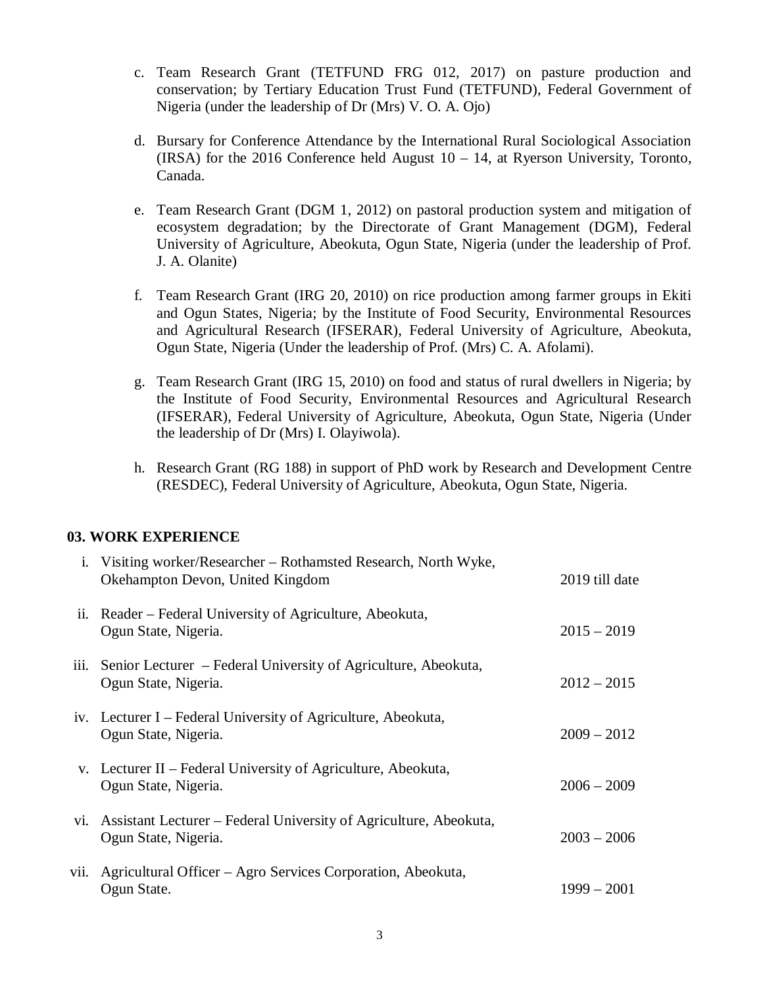- c. Team Research Grant (TETFUND FRG 012, 2017) on pasture production and conservation; by Tertiary Education Trust Fund (TETFUND), Federal Government of Nigeria (under the leadership of Dr (Mrs) V. O. A. Ojo)
- d. Bursary for Conference Attendance by the International Rural Sociological Association (IRSA) for the 2016 Conference held August 10 – 14, at Ryerson University, Toronto, Canada.
- e. Team Research Grant (DGM 1, 2012) on pastoral production system and mitigation of ecosystem degradation; by the Directorate of Grant Management (DGM), Federal University of Agriculture, Abeokuta, Ogun State, Nigeria (under the leadership of Prof. J. A. Olanite)
- f. Team Research Grant (IRG 20, 2010) on rice production among farmer groups in Ekiti and Ogun States, Nigeria; by the Institute of Food Security, Environmental Resources and Agricultural Research (IFSERAR), Federal University of Agriculture, Abeokuta, Ogun State, Nigeria (Under the leadership of Prof. (Mrs) C. A. Afolami).
- g. Team Research Grant (IRG 15, 2010) on food and status of rural dwellers in Nigeria; by the Institute of Food Security, Environmental Resources and Agricultural Research (IFSERAR), Federal University of Agriculture, Abeokuta, Ogun State, Nigeria (Under the leadership of Dr (Mrs) I. Olayiwola).
- h. Research Grant (RG 188) in support of PhD work by Research and Development Centre (RESDEC), Federal University of Agriculture, Abeokuta, Ogun State, Nigeria.

## **03. WORK EXPERIENCE**

|      | i. Visiting worker/Researcher – Rothamsted Research, North Wyke,<br>Okehampton Devon, United Kingdom | 2019 till date |
|------|------------------------------------------------------------------------------------------------------|----------------|
| ii.  | Reader – Federal University of Agriculture, Abeokuta,<br>Ogun State, Nigeria.                        | $2015 - 2019$  |
| iii. | Senior Lecturer – Federal University of Agriculture, Abeokuta,<br>Ogun State, Nigeria.               | $2012 - 2015$  |
|      | iv. Lecturer I – Federal University of Agriculture, Abeokuta,<br>Ogun State, Nigeria.                | $2009 - 2012$  |
|      | v. Lecturer II – Federal University of Agriculture, Abeokuta,<br>Ogun State, Nigeria.                | $2006 - 2009$  |
|      | vi. Assistant Lecturer - Federal University of Agriculture, Abeokuta,<br>Ogun State, Nigeria.        | $2003 - 2006$  |
| vii. | Agricultural Officer - Agro Services Corporation, Abeokuta,<br>Ogun State.                           | $1999 - 2001$  |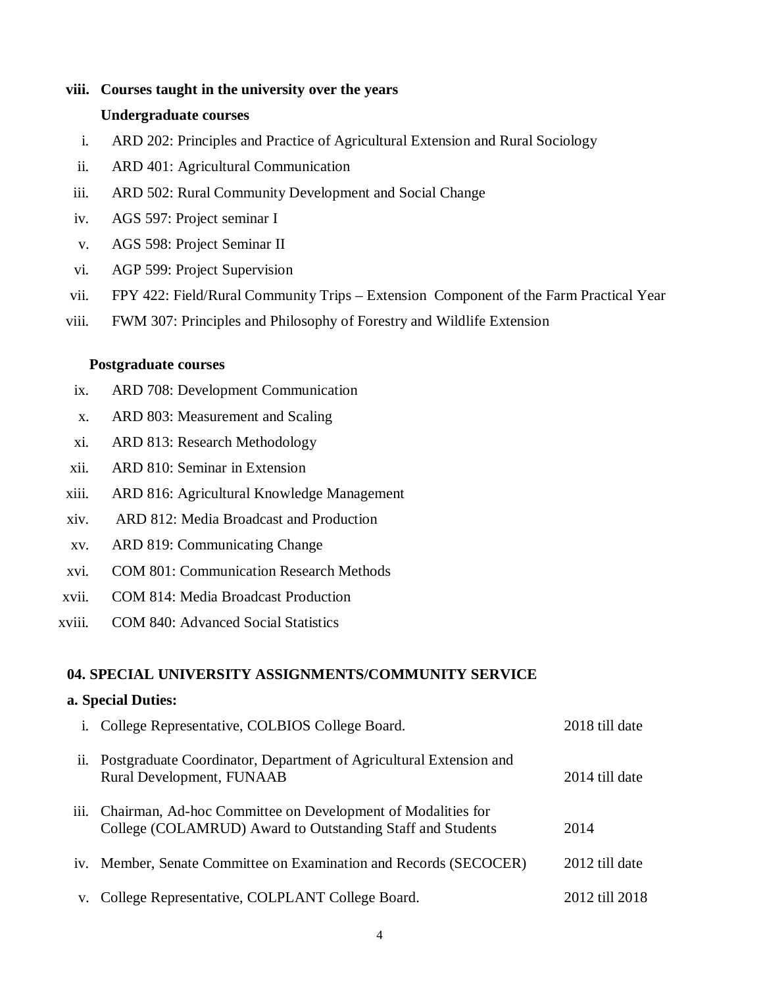#### **viii. Courses taught in the university over the years**

#### **Undergraduate courses**

- i. ARD 202: Principles and Practice of Agricultural Extension and Rural Sociology
- ii. ARD 401: Agricultural Communication
- iii. ARD 502: Rural Community Development and Social Change
- iv. AGS 597: Project seminar I
- v. AGS 598: Project Seminar II
- vi. AGP 599: Project Supervision
- vii. FPY 422: Field/Rural Community Trips Extension Component of the Farm Practical Year
- viii. FWM 307: Principles and Philosophy of Forestry and Wildlife Extension

## **Postgraduate courses**

- ix. ARD 708: Development Communication
- x. ARD 803: Measurement and Scaling
- xi. ARD 813: Research Methodology
- xii. ARD 810: Seminar in Extension
- xiii. ARD 816: Agricultural Knowledge Management
- xiv. ARD 812: Media Broadcast and Production
- xv. ARD 819: Communicating Change
- xvi. COM 801: Communication Research Methods
- xvii. COM 814: Media Broadcast Production
- xviii. COM 840: Advanced Social Statistics

## **04. SPECIAL UNIVERSITY ASSIGNMENTS/COMMUNITY SERVICE**

## **a. Special Duties:**

|      | i. College Representative, COLBIOS College Board.                                                                         | 2018 till date |
|------|---------------------------------------------------------------------------------------------------------------------------|----------------|
| ii.  | Postgraduate Coordinator, Department of Agricultural Extension and<br>Rural Development, FUNAAB                           | 2014 till date |
| iii. | Chairman, Ad-hoc Committee on Development of Modalities for<br>College (COLAMRUD) Award to Outstanding Staff and Students | 2014           |
|      | iv. Member, Senate Committee on Examination and Records (SECOCER)                                                         | 2012 till date |
|      | v. College Representative, COLPLANT College Board.                                                                        | 2012 till 2018 |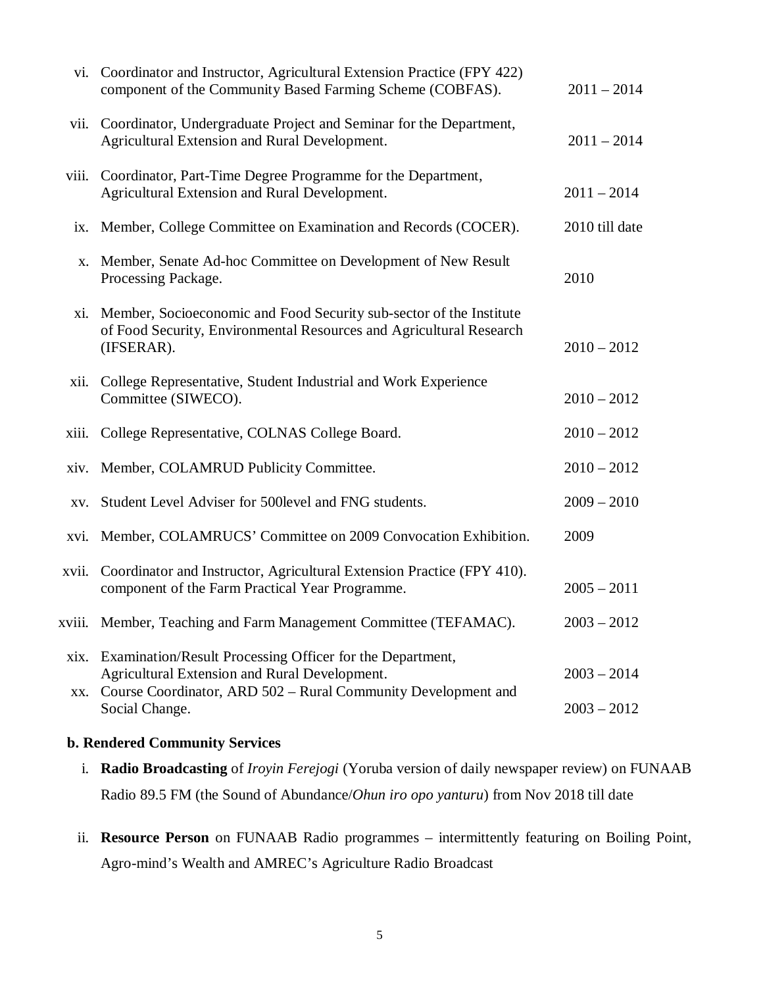|             | vi. Coordinator and Instructor, Agricultural Extension Practice (FPY 422)<br>component of the Community Based Farming Scheme (COBFAS).                                      | $2011 - 2014$  |
|-------------|-----------------------------------------------------------------------------------------------------------------------------------------------------------------------------|----------------|
| vii.        | Coordinator, Undergraduate Project and Seminar for the Department,<br>Agricultural Extension and Rural Development.                                                         | $2011 - 2014$  |
| viii.       | Coordinator, Part-Time Degree Programme for the Department,<br>Agricultural Extension and Rural Development.                                                                | $2011 - 2014$  |
| ix.         | Member, College Committee on Examination and Records (COCER).                                                                                                               | 2010 till date |
| X.          | Member, Senate Ad-hoc Committee on Development of New Result<br>Processing Package.                                                                                         | 2010           |
| xi.         | Member, Socioeconomic and Food Security sub-sector of the Institute<br>of Food Security, Environmental Resources and Agricultural Research<br>(IFSERAR).                    | $2010 - 2012$  |
| xii.        | College Representative, Student Industrial and Work Experience<br>Committee (SIWECO).                                                                                       | $2010 - 2012$  |
| xiii.       | College Representative, COLNAS College Board.                                                                                                                               | $2010 - 2012$  |
|             | xiv. Member, COLAMRUD Publicity Committee.                                                                                                                                  | $2010 - 2012$  |
| XV.         | Student Level Adviser for 500 level and FNG students.                                                                                                                       | $2009 - 2010$  |
|             | xvi. Member, COLAMRUCS' Committee on 2009 Convocation Exhibition.                                                                                                           | 2009           |
| xvii.       | Coordinator and Instructor, Agricultural Extension Practice (FPY 410).<br>component of the Farm Practical Year Programme.                                                   | $2005 - 2011$  |
|             | xviii. Member, Teaching and Farm Management Committee (TEFAMAC).                                                                                                            | $2003 - 2012$  |
| xix.<br>XX. | Examination/Result Processing Officer for the Department,<br>Agricultural Extension and Rural Development.<br>Course Coordinator, ARD 502 - Rural Community Development and | $2003 - 2014$  |
|             | Social Change.                                                                                                                                                              | $2003 - 2012$  |

## **b. Rendered Community Services**

- i. **Radio Broadcasting** of *Iroyin Ferejogi* (Yoruba version of daily newspaper review) on FUNAAB Radio 89.5 FM (the Sound of Abundance/*Ohun iro opo yanturu*) from Nov 2018 till date
- ii. **Resource Person** on FUNAAB Radio programmes intermittently featuring on Boiling Point, Agro-mind's Wealth and AMREC's Agriculture Radio Broadcast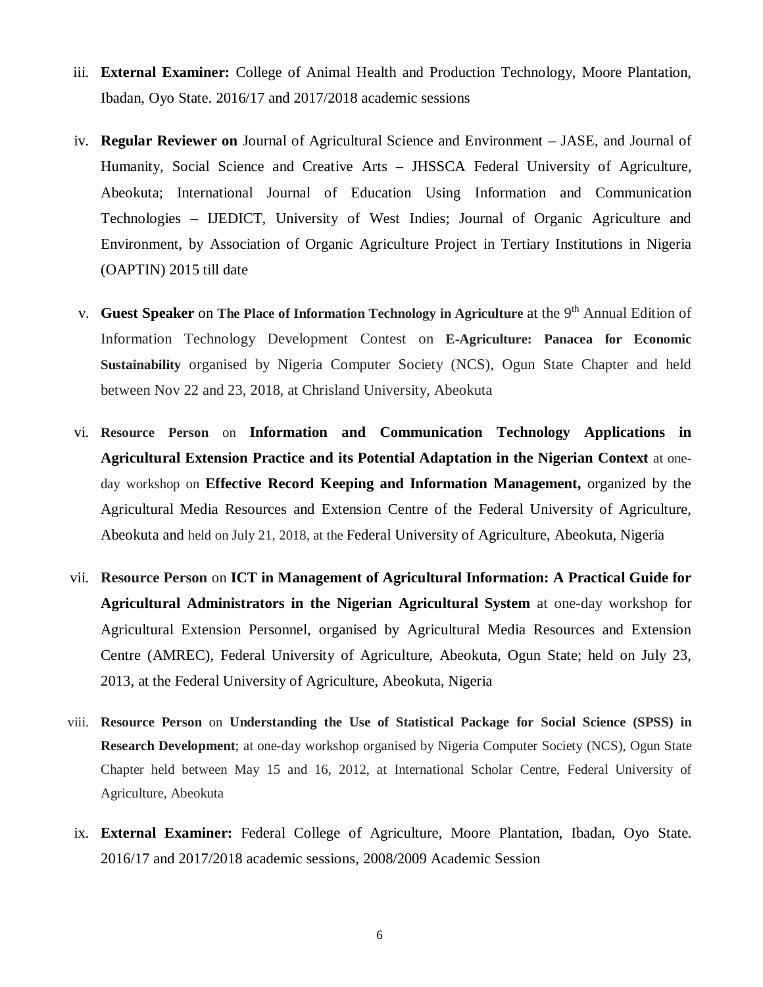- iii. **External Examiner:** College of Animal Health and Production Technology, Moore Plantation, Ibadan, Oyo State. 2016/17 and 2017/2018 academic sessions
- iv. **Regular Reviewer on** Journal of Agricultural Science and Environment JASE, and Journal of Humanity, Social Science and Creative Arts – JHSSCA Federal University of Agriculture, Abeokuta; International Journal of Education Using Information and Communication Technologies – IJEDICT, University of West Indies; Journal of Organic Agriculture and Environment, by Association of Organic Agriculture Project in Tertiary Institutions in Nigeria (OAPTIN) 2015 till date
- v. **Guest Speaker** on The Place of Information Technology in Agriculture at the 9<sup>th</sup> Annual Edition of Information Technology Development Contest on **E-Agriculture: Panacea for Economic Sustainability** organised by Nigeria Computer Society (NCS), Ogun State Chapter and held between Nov 22 and 23, 2018, at Chrisland University, Abeokuta
- vi. **Resource Person** on **Information and Communication Technology Applications in Agricultural Extension Practice and its Potential Adaptation in the Nigerian Context** at oneday workshop on **Effective Record Keeping and Information Management,** organized by the Agricultural Media Resources and Extension Centre of the Federal University of Agriculture, Abeokuta and held on July 21, 2018, at the Federal University of Agriculture, Abeokuta, Nigeria
- vii. **Resource Person** on **ICT in Management of Agricultural Information: A Practical Guide for Agricultural Administrators in the Nigerian Agricultural System** at one-day workshop for Agricultural Extension Personnel, organised by Agricultural Media Resources and Extension Centre (AMREC), Federal University of Agriculture, Abeokuta, Ogun State; held on July 23, 2013, at the Federal University of Agriculture, Abeokuta, Nigeria
- viii. **Resource Person** on **Understanding the Use of Statistical Package for Social Science (SPSS) in Research Development**; at one-day workshop organised by Nigeria Computer Society (NCS), Ogun State Chapter held between May 15 and 16, 2012, at International Scholar Centre, Federal University of Agriculture, Abeokuta
- ix. **External Examiner:** Federal College of Agriculture, Moore Plantation, Ibadan, Oyo State. 2016/17 and 2017/2018 academic sessions, 2008/2009 Academic Session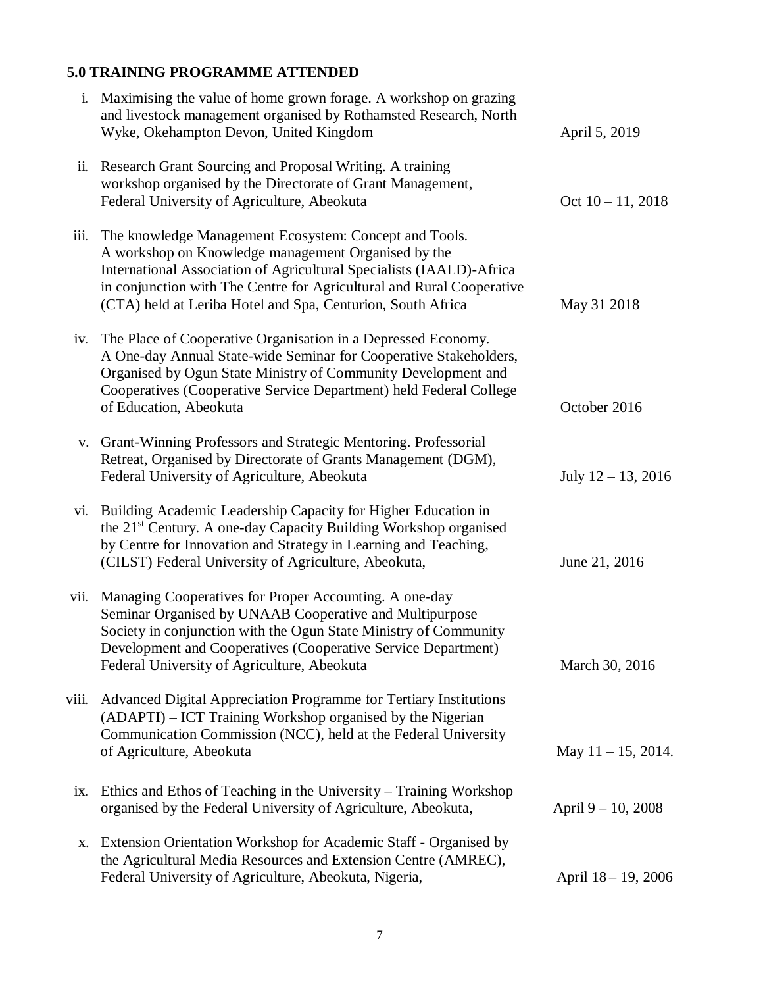# **5.0 TRAINING PROGRAMME ATTENDED**

| i.    | Maximising the value of home grown forage. A workshop on grazing<br>and livestock management organised by Rothamsted Research, North<br>Wyke, Okehampton Devon, United Kingdom                                                                                                                                                | April 5, 2019         |
|-------|-------------------------------------------------------------------------------------------------------------------------------------------------------------------------------------------------------------------------------------------------------------------------------------------------------------------------------|-----------------------|
| ii.   | Research Grant Sourcing and Proposal Writing. A training<br>workshop organised by the Directorate of Grant Management,<br>Federal University of Agriculture, Abeokuta                                                                                                                                                         | Oct $10 - 11$ , 2018  |
| iii.  | The knowledge Management Ecosystem: Concept and Tools.<br>A workshop on Knowledge management Organised by the<br>International Association of Agricultural Specialists (IAALD)-Africa<br>in conjunction with The Centre for Agricultural and Rural Cooperative<br>(CTA) held at Leriba Hotel and Spa, Centurion, South Africa | May 31 2018           |
| iv.   | The Place of Cooperative Organisation in a Depressed Economy.<br>A One-day Annual State-wide Seminar for Cooperative Stakeholders,<br>Organised by Ogun State Ministry of Community Development and<br>Cooperatives (Cooperative Service Department) held Federal College<br>of Education, Abeokuta                           | October 2016          |
|       | v. Grant-Winning Professors and Strategic Mentoring. Professorial<br>Retreat, Organised by Directorate of Grants Management (DGM),<br>Federal University of Agriculture, Abeokuta                                                                                                                                             | July $12 - 13$ , 2016 |
| vi.   | Building Academic Leadership Capacity for Higher Education in<br>the 21 <sup>st</sup> Century. A one-day Capacity Building Workshop organised<br>by Centre for Innovation and Strategy in Learning and Teaching,<br>(CILST) Federal University of Agriculture, Abeokuta,                                                      | June 21, 2016         |
| vii.  | Managing Cooperatives for Proper Accounting. A one-day<br>Seminar Organised by UNAAB Cooperative and Multipurpose<br>Society in conjunction with the Ogun State Ministry of Community<br>Development and Cooperatives (Cooperative Service Department)<br>Federal University of Agriculture, Abeokuta                         | March 30, 2016        |
| viii. | Advanced Digital Appreciation Programme for Tertiary Institutions<br>(ADAPTI) – ICT Training Workshop organised by the Nigerian<br>Communication Commission (NCC), held at the Federal University<br>of Agriculture, Abeokuta                                                                                                 | May $11 - 15$ , 2014. |
|       | ix. Ethics and Ethos of Teaching in the University - Training Workshop<br>organised by the Federal University of Agriculture, Abeokuta,                                                                                                                                                                                       | April $9 - 10$ , 2008 |
| Х.    | Extension Orientation Workshop for Academic Staff - Organised by<br>the Agricultural Media Resources and Extension Centre (AMREC),<br>Federal University of Agriculture, Abeokuta, Nigeria,                                                                                                                                   | April 18 - 19, 2006   |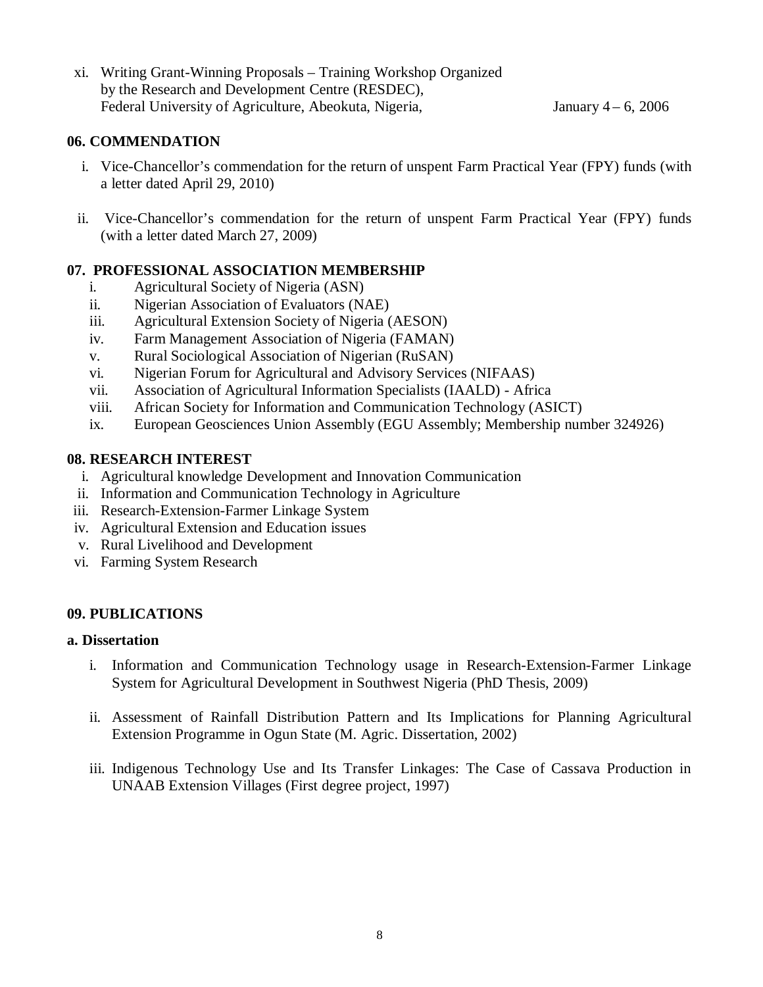xi. Writing Grant-Winning Proposals – Training Workshop Organized by the Research and Development Centre (RESDEC), Federal University of Agriculture, Abeokuta, Nigeria, January 4 – 6, 2006

# **06. COMMENDATION**

- i. Vice-Chancellor's commendation for the return of unspent Farm Practical Year (FPY) funds (with a letter dated April 29, 2010)
- ii. Vice-Chancellor's commendation for the return of unspent Farm Practical Year (FPY) funds (with a letter dated March 27, 2009)

# **07. PROFESSIONAL ASSOCIATION MEMBERSHIP**

- i. Agricultural Society of Nigeria (ASN)
- ii. Nigerian Association of Evaluators (NAE)
- iii. Agricultural Extension Society of Nigeria (AESON)
- iv. Farm Management Association of Nigeria (FAMAN)
- v. Rural Sociological Association of Nigerian (RuSAN)
- vi. Nigerian Forum for Agricultural and Advisory Services (NIFAAS)
- vii. Association of Agricultural Information Specialists (IAALD) Africa
- viii. African Society for Information and Communication Technology (ASICT)
- ix. European Geosciences Union Assembly (EGU Assembly; Membership number 324926)

# **08. RESEARCH INTEREST**

- i. Agricultural knowledge Development and Innovation Communication
- ii. Information and Communication Technology in Agriculture
- iii. Research-Extension-Farmer Linkage System
- iv. Agricultural Extension and Education issues
- v. Rural Livelihood and Development
- vi. Farming System Research

# **09. PUBLICATIONS**

## **a. Dissertation**

- i. Information and Communication Technology usage in Research-Extension-Farmer Linkage System for Agricultural Development in Southwest Nigeria (PhD Thesis, 2009)
- ii. Assessment of Rainfall Distribution Pattern and Its Implications for Planning Agricultural Extension Programme in Ogun State (M. Agric. Dissertation, 2002)
- iii. Indigenous Technology Use and Its Transfer Linkages: The Case of Cassava Production in UNAAB Extension Villages (First degree project, 1997)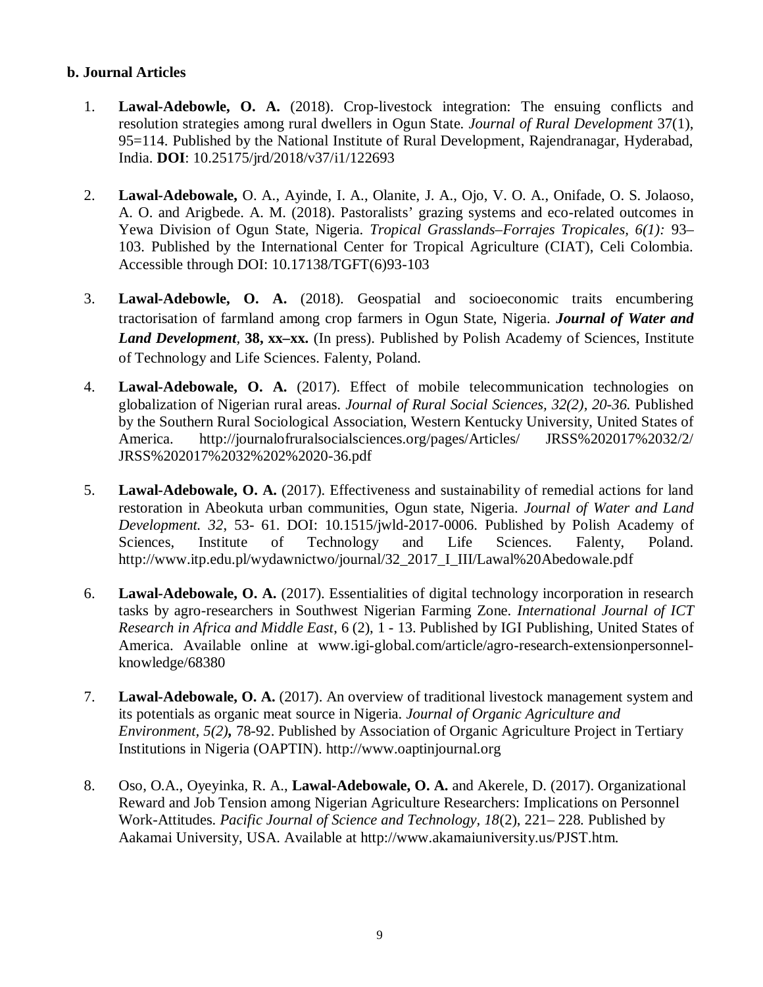## **b. Journal Articles**

- 1. **Lawal-Adebowle, O. A.** (2018). Crop-livestock integration: The ensuing conflicts and resolution strategies among rural dwellers in Ogun State. *Journal of Rural Development* 37(1), 95=114. Published by the National Institute of Rural Development, Rajendranagar, Hyderabad, India. **DOI**: 10.25175/jrd/2018/v37/i1/122693
- 2. **Lawal-Adebowale,** O. A., Ayinde, I. A., Olanite, J. A., Ojo, V. O. A., Onifade, O. S. Jolaoso, A. O. and Arigbede. A. M. (2018). Pastoralists' grazing systems and eco-related outcomes in Yewa Division of Ogun State, Nigeria. *Tropical Grasslands–Forrajes Tropicales, 6(1):* 93– 103. Published by the International Center for Tropical Agriculture (CIAT), Celi Colombia. Accessible through DOI: 10.17138/TGFT(6)93-103
- 3. **Lawal-Adebowle, O. A.** (2018). Geospatial and socioeconomic traits encumbering tractorisation of farmland among crop farmers in Ogun State, Nigeria. *Journal of Water and Land Development,* **38, xx–xx.** (In press). Published by Polish Academy of Sciences, Institute of Technology and Life Sciences. Falenty, Poland.
- 4. **Lawal-Adebowale, O. A.** (2017). Effect of mobile telecommunication technologies on globalization of Nigerian rural areas. *Journal of Rural Social Sciences, 32(2), 20-36.* Published by the Southern Rural Sociological Association, Western Kentucky University, United States of America. <http://journalofruralsocialsciences.org/pages/Articles/>JRSS%202017%2032/2/ JRSS%202017%2032%202%2020-36.pdf
- 5. **Lawal-Adebowale, O. A.** (2017). Effectiveness and sustainability of remedial actions for land restoration in Abeokuta urban communities, Ogun state, Nigeria. *Journal of Water and Land Development. 32*, 53- 61. DOI: 10.1515/jwld-2017-0006. Published by Polish Academy of Sciences, Institute of Technology and Life Sciences. Falenty, Poland. [http://www.itp.edu.pl/wydawnictwo/journal/32\\_2017\\_I\\_III/Lawal%20Abedowale.pdf](http://www.itp.edu.pl/wydawnictwo/journal/32_2017_I_III/Lawal%20Abedowale.pdf)
- 6. **Lawal-Adebowale, O. A.** (2017). Essentialities of digital technology incorporation in research tasks by agro-researchers in Southwest Nigerian Farming Zone. *International Journal of ICT Research in Africa and Middle East*, 6 (2), 1 - 13. Published by IGI Publishing, United States of America. Available online at [www.igi-global.com/article/agro-research-extensionpersonnel](http://www.igi-global.com/article/agro-research-extensionpersonnel-)knowledge/68380
- 7. **Lawal-Adebowale, O. A.** (2017). An overview of traditional livestock management system and its potentials as organic meat source in Nigeria. *Journal of Organic Agriculture and Environment, 5(2),* 78-92. Published by Association of Organic Agriculture Project in Tertiary Institutions in Nigeria (OAPTIN). <http://www.oaptinjournal.org>
- 8. Oso, O.A., Oyeyinka, R. A., **Lawal-Adebowale, O. A.** and Akerele, D. (2017). Organizational Reward and Job Tension among Nigerian Agriculture Researchers: Implications on Personnel Work-Attitudes. *Pacific Journal of Science and Technology, 18*(2), 221– 228. Published by Aakamai University, USA. Available at <http://www.akamaiuniversity.us/PJST.htm.>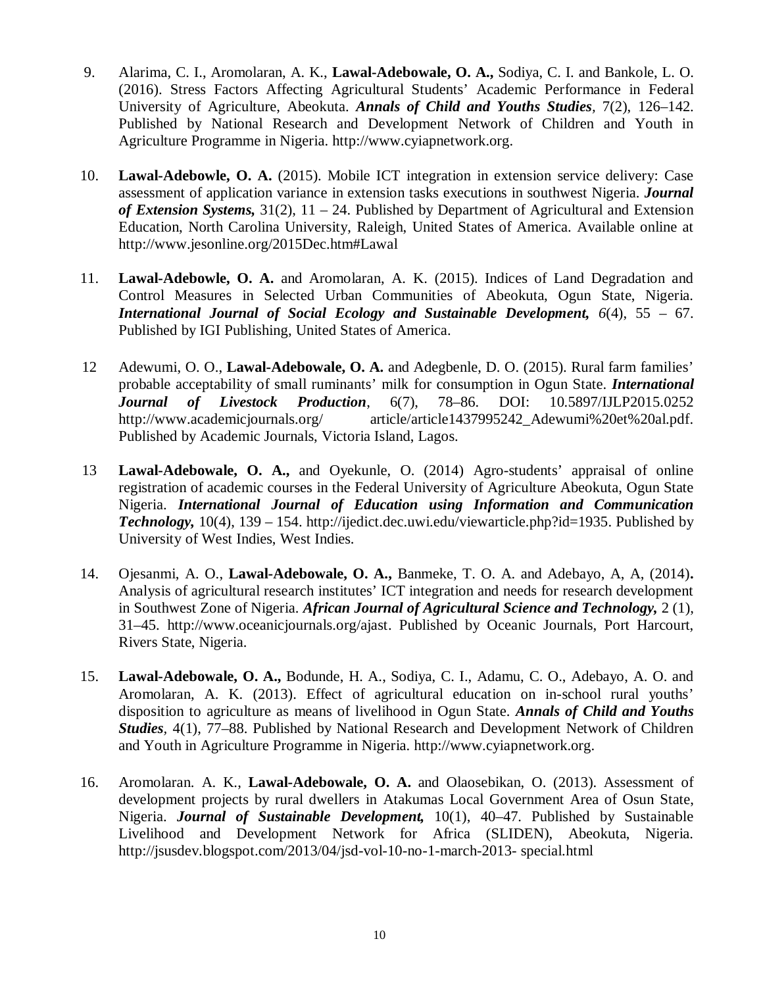- 9. Alarima, C. I., Aromolaran, A. K., **Lawal-Adebowale, O. A.,** Sodiya, C. I. and Bankole, L. O. (2016). Stress Factors Affecting Agricultural Students' Academic Performance in Federal University of Agriculture, Abeokuta. *Annals of Child and Youths Studies,* 7(2), 126–142. Published by National Research and Development Network of Children and Youth in Agriculture Programme in Nigeria. <http://www.cyiapnetwork.org.>
- 10. **Lawal-Adebowle, O. A.** (2015). Mobile ICT integration in extension service delivery: Case assessment of application variance in extension tasks executions in southwest Nigeria. *Journal of Extension Systems,* 31(2), 11 – 24. Published by Department of Agricultural and Extension Education, North Carolina University, Raleigh, United States of America. Available online at <http://www.jesonline.org/2015Dec.htm#Lawal>
- 11. **Lawal-Adebowle, O. A.** and Aromolaran, A. K. (2015). Indices of Land Degradation and Control Measures in Selected Urban Communities of Abeokuta, Ogun State, Nigeria. *International Journal of Social Ecology and Sustainable Development, 6*(4), 55 – 67. Published by IGI Publishing, United States of America.
- 12 Adewumi, O. O., **Lawal-Adebowale, O. A.** and Adegbenle, D. O. (2015). Rural farm families' probable acceptability of small ruminants' milk for consumption in Ogun State. *International Journal of Livestock Production*, 6(7), 78–86. DOI: 10.5897/IJLP2015.0252 <http://www.academicjournals.org/> article/article1437995242 Adewumi%20et%20al.pdf. Published by Academic Journals, Victoria Island, Lagos.
- 13 **Lawal-Adebowale, O. A.,** and Oyekunle, O. (2014) Agro-students' appraisal of online registration of academic courses in the Federal University of Agriculture Abeokuta, Ogun State Nigeria. *International Journal of Education using Information and Communication Technology,* 10(4), 139 – 154. <http://ijedict.dec.uwi.edu/viewarticle.php?id=1935.> Published by University of West Indies, West Indies.
- 14. Ojesanmi, A. O., **Lawal-Adebowale, O. A.,** Banmeke, T. O. A. and Adebayo, A, A, (2014)**.**  Analysis of agricultural research institutes' ICT integration and needs for research development in Southwest Zone of Nigeria. *African Journal of Agricultural Science and Technology,* 2 (1), 31–45. <http://www.oceanicjournals.org/ajast.> Published by Oceanic Journals, Port Harcourt, Rivers State, Nigeria.
- 15. **Lawal-Adebowale, O. A.,** Bodunde, H. A., Sodiya, C. I., Adamu, C. O., Adebayo, A. O. and Aromolaran, A. K. (2013). Effect of agricultural education on in-school rural youths' disposition to agriculture as means of livelihood in Ogun State. *Annals of Child and Youths Studies,* 4(1), 77–88. Published by National Research and Development Network of Children and Youth in Agriculture Programme in Nigeria.<http://www.cyiapnetwork.org.>
- 16. Aromolaran. A. K., **Lawal-Adebowale, O. A.** and Olaosebikan, O. (2013). Assessment of development projects by rural dwellers in Atakumas Local Government Area of Osun State, Nigeria. *Journal of Sustainable Development,* 10(1), 40–47. Published by Sustainable Livelihood and Development Network for Africa (SLIDEN), Abeokuta, Nigeria. <http://jsusdev.blogspot.com/2013/04/jsd-vol-10-no-1-march-2013-> special.html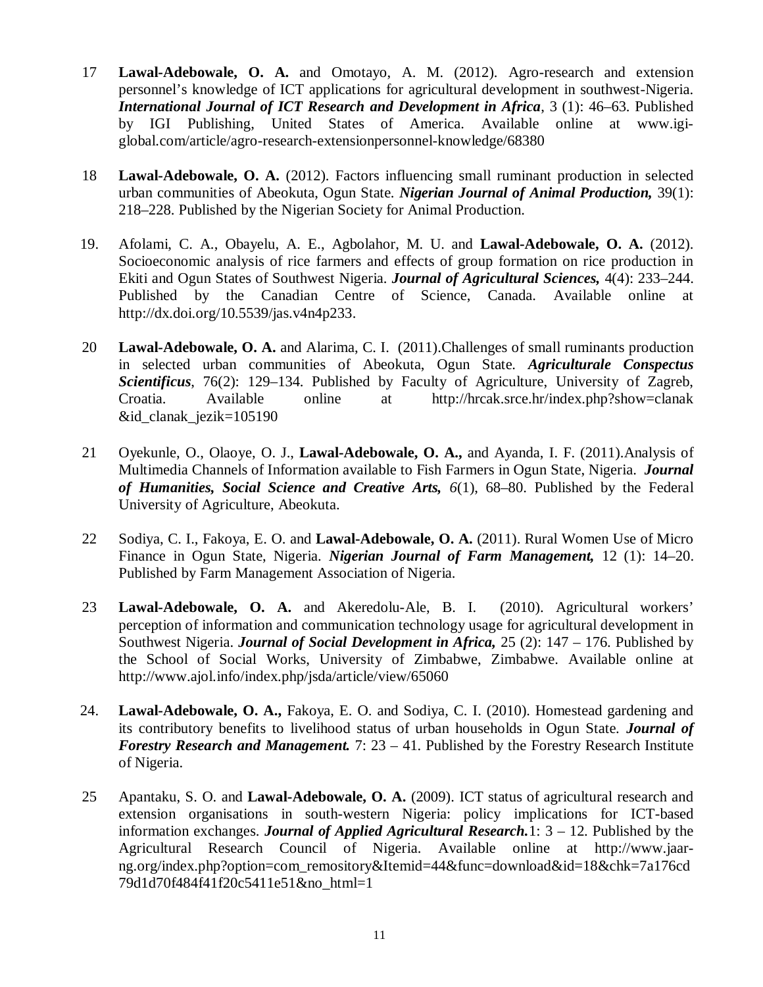- 17 **Lawal-Adebowale, O. A.** and Omotayo, A. M. (2012). Agro-research and extension personnel's knowledge of ICT applications for agricultural development in southwest-Nigeria. *International Journal of ICT Research and Development in Africa*, 3 (1): 46–63. Published by IGI Publishing, United States of America. Available online at www.igiglobal.com/article/agro-research-extensionpersonnel-knowledge/68380
- 18 **Lawal-Adebowale, O. A.** (2012). Factors influencing small ruminant production in selected urban communities of Abeokuta, Ogun State. *Nigerian Journal of Animal Production,* 39(1): 218–228. Published by the Nigerian Society for Animal Production.
- 19. Afolami, C. A., Obayelu, A. E., Agbolahor, M. U. and **Lawal-Adebowale, O. A.** (2012). Socioeconomic analysis of rice farmers and effects of group formation on rice production in Ekiti and Ogun States of Southwest Nigeria. *Journal of Agricultural Sciences,* 4(4): 233–244. Published by the Canadian Centre of Science, Canada. Available online at <http://dx.doi.org/10.5539/jas.v4n4p233.>
- 20 **Lawal-Adebowale, O. A.** and Alarima, C. I. (2011).Challenges of small ruminants production in selected urban communities of Abeokuta, Ogun State. *Agriculturale Conspectus Scientificus*, 76(2): 129–134. Published by Faculty of Agriculture, University of Zagreb, Croatia. Available online at <http://hrcak.srce.hr/index.php?show=clanak> &id\_clanak\_jezik=105190
- 21 Oyekunle, O., Olaoye, O. J., **Lawal-Adebowale, O. A.,** and Ayanda, I. F. (2011).Analysis of Multimedia Channels of Information available to Fish Farmers in Ogun State, Nigeria. *Journal of Humanities, Social Science and Creative Arts, 6*(1), 68–80. Published by the Federal University of Agriculture, Abeokuta.
- 22 Sodiya, C. I., Fakoya, E. O. and **Lawal-Adebowale, O. A.** (2011). Rural Women Use of Micro Finance in Ogun State, Nigeria. *Nigerian Journal of Farm Management,* 12 (1): 14–20. Published by Farm Management Association of Nigeria.
- 23 **Lawal-Adebowale, O. A.** and Akeredolu-Ale, B. I. (2010). Agricultural workers' perception of information and communication technology usage for agricultural development in Southwest Nigeria. *Journal of Social Development in Africa,* 25 (2): 147 – 176. Published by the School of Social Works, University of Zimbabwe, Zimbabwe. Available online at <http://www.ajol.info/index.php/jsda/article/view/65060>
- 24. **Lawal-Adebowale, O. A.,** Fakoya, E. O. and Sodiya, C. I. (2010). Homestead gardening and its contributory benefits to livelihood status of urban households in Ogun State. *Journal of Forestry Research and Management.* 7: 23 – 41. Published by the Forestry Research Institute of Nigeria.
- 25 Apantaku, S. O. and **Lawal-Adebowale, O. A.** (2009). ICT status of agricultural research and extension organisations in south-western Nigeria: policy implications for ICT-based information exchanges. *Journal of Applied Agricultural Research.*1: 3 – 12. Published by the Agricultural Research Council of Nigeria. Available online at [http://www.jaar](http://www.jaar-)ng.org/index.php?option=com\_remository&Itemid=44&func=download&id=18&chk=7a176cd 79d1d70f484f41f20c5411e51&no\_html=1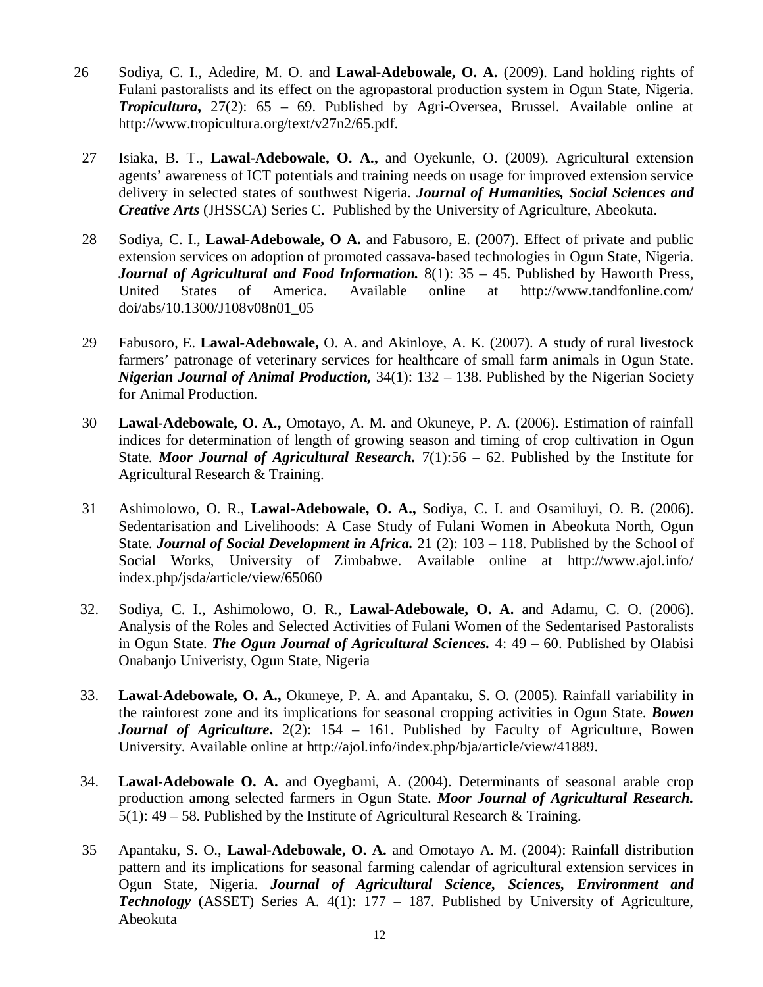- 26 Sodiya, C. I., Adedire, M. O. and **Lawal-Adebowale, O. A.** (2009). Land holding rights of Fulani pastoralists and its effect on the agropastoral production system in Ogun State, Nigeria. *Tropicultura***,** 27(2): 65 – 69. Published by Agri-Oversea, Brussel. Available online at <http://www.tropicultura.org/text/v27n2/65.pdf.>
- 27 Isiaka, B. T., **Lawal-Adebowale, O. A.,** and Oyekunle, O. (2009). Agricultural extension agents' awareness of ICT potentials and training needs on usage for improved extension service delivery in selected states of southwest Nigeria. *Journal of Humanities, Social Sciences and Creative Arts* (JHSSCA) Series C. Published by the University of Agriculture, Abeokuta.
- 28 Sodiya, C. I., **Lawal-Adebowale, O A.** and Fabusoro, E. (2007). Effect of private and public extension services on adoption of promoted cassava-based technologies in Ogun State, Nigeria. *Journal of Agricultural and Food Information.* 8(1): 35 – 45. Published by Haworth Press, United States of America. Available online at <http://www.tandfonline.com/> doi/abs/10.1300/J108v08n01\_05
- 29 Fabusoro, E. **Lawal-Adebowale,** O. A. and Akinloye, A. K. (2007). A study of rural livestock farmers' patronage of veterinary services for healthcare of small farm animals in Ogun State. *Nigerian Journal of Animal Production,* 34(1): 132 – 138. Published by the Nigerian Society for Animal Production.
- 30 **Lawal-Adebowale, O. A.,** Omotayo, A. M. and Okuneye, P. A. (2006). Estimation of rainfall indices for determination of length of growing season and timing of crop cultivation in Ogun State. *Moor Journal of Agricultural Research.* 7(1):56 – 62. Published by the Institute for Agricultural Research & Training.
- 31 Ashimolowo, O. R., **Lawal-Adebowale, O. A.,** Sodiya, C. I. and Osamiluyi, O. B. (2006). Sedentarisation and Livelihoods: A Case Study of Fulani Women in Abeokuta North, Ogun State. *Journal of Social Development in Africa.* 21 (2): 103 – 118. Published by the School of Social Works, University of Zimbabwe. Available online at <http://www.ajol.info/> index.php/jsda/article/view/65060
- 32. Sodiya, C. I., Ashimolowo, O. R., **Lawal-Adebowale, O. A.** and Adamu, C. O. (2006). Analysis of the Roles and Selected Activities of Fulani Women of the Sedentarised Pastoralists in Ogun State. *The Ogun Journal of Agricultural Sciences.* 4: 49 – 60. Published by Olabisi Onabanjo Univeristy, Ogun State, Nigeria
- 33. **Lawal-Adebowale, O. A.,** Okuneye, P. A. and Apantaku, S. O. (2005). Rainfall variability in the rainforest zone and its implications for seasonal cropping activities in Ogun State. *Bowen Journal of Agriculture*. 2(2): 154 – 161. Published by Faculty of Agriculture, Bowen University. Available online at<http://ajol.info/index.php/bja/article/view/41889.>
- 34. **Lawal-Adebowale O. A.** and Oyegbami, A. (2004). Determinants of seasonal arable crop production among selected farmers in Ogun State. *Moor Journal of Agricultural Research.* 5(1):  $49 - 58$ . Published by the Institute of Agricultural Research & Training.
- 35 Apantaku, S. O., **Lawal-Adebowale, O. A.** and Omotayo A. M. (2004): Rainfall distribution pattern and its implications for seasonal farming calendar of agricultural extension services in Ogun State, Nigeria. *Journal of Agricultural Science, Sciences, Environment and Technology* (ASSET) Series A. 4(1): 177 – 187. Published by University of Agriculture, Abeokuta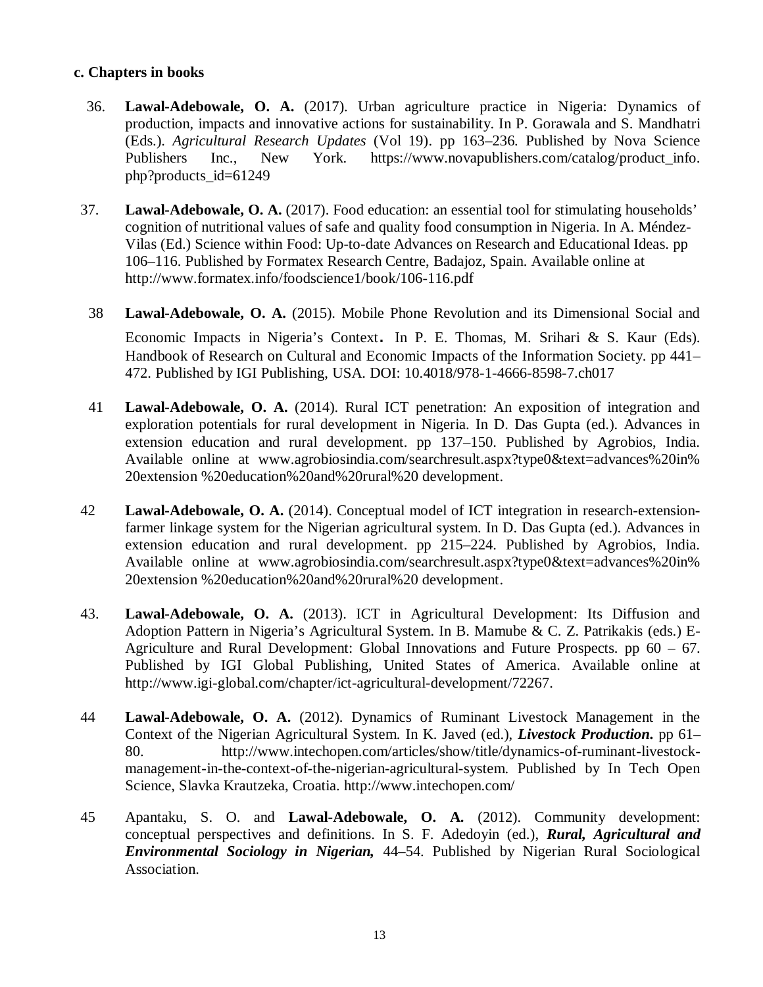## **c. Chapters in books**

- 36. **Lawal-Adebowale, O. A.** (2017). Urban agriculture practice in Nigeria: Dynamics of production, impacts and innovative actions for sustainability. In P. Gorawala and S. Mandhatri (Eds.). *Agricultural Research Updates* (Vol 19). pp 163–236. Published by Nova Science Publishers Inc., New York. [https://www.novapublishers.com/catalog/product\\_info.](https://www.novapublishers.com/catalog/product_info.) php?products\_id=61249
- 37. **Lawal-Adebowale, O. A.** (2017). Food education: an essential tool for stimulating households' cognition of nutritional values of safe and quality food consumption in Nigeria. In A. Méndez-Vilas (Ed.) Science within Food: Up-to-date Advances on Research and Educational Ideas. pp 106–116. Published by Formatex Research Centre, Badajoz, Spain. Available online at <http://www.formatex.info/foodscience1/book/106-116.pdf>
- 38 **Lawal-Adebowale, O. A.** (2015). Mobile Phone Revolution and its Dimensional Social and Economic Impacts in Nigeria's Context. In P. E. Thomas, M. Srihari & S. Kaur (Eds). Handbook of Research on Cultural and Economic Impacts of the Information Society. pp 441– 472. Published by IGI Publishing, USA. DOI: 10.4018/978-1-4666-8598-7.ch017
- 41 **Lawal-Adebowale, O. A.** (2014). Rural ICT penetration: An exposition of integration and exploration potentials for rural development in Nigeria. In D. Das Gupta (ed.). Advances in extension education and rural development. pp 137–150. Published by Agrobios, India. Available online at [www.agrobiosindia.com/searchresult.aspx?type0&text=advances%20in%](http://www.agrobiosindia.com/searchresult.aspx?type0&text=advances%20in%) 20extension %20education%20and%20rural%20 development.
- 42 **Lawal-Adebowale, O. A.** (2014). Conceptual model of ICT integration in research-extensionfarmer linkage system for the Nigerian agricultural system. In D. Das Gupta (ed.). Advances in extension education and rural development. pp 215–224. Published by Agrobios, India. Available online at [www.agrobiosindia.com/searchresult.aspx?type0&text=advances%20in%](http://www.agrobiosindia.com/searchresult.aspx?type0&text=advances%20in%) 20extension %20education%20and%20rural%20 development.
- 43. **Lawal-Adebowale, O. A.** (2013). ICT in Agricultural Development: Its Diffusion and Adoption Pattern in Nigeria's Agricultural System. In B. Mamube & C. Z. Patrikakis (eds.) E-Agriculture and Rural Development: Global Innovations and Future Prospects. pp 60 – 67. Published by IGI Global Publishing, United States of America. Available online at <http://www.igi-global.com/chapter/ict-agricultural-development/72267.>
- 44 **Lawal-Adebowale, O. A.** (2012). Dynamics of Ruminant Livestock Management in the Context of the Nigerian Agricultural System. In K. Javed (ed.), *Livestock Production***.** pp 61– 80. [http://www.intechopen.com/articles/show/title/dynamics-of-ruminant-livestock](http://www.intechopen.com/articles/show/title/dynamics-of-ruminant-livestock-)management-in-the-context-of-the-nigerian-agricultural-system. Published by In Tech Open Science, Slavka Krautzeka, Croatia.<http://www.intechopen.com/>
- 45 Apantaku, S. O. and **Lawal-Adebowale, O. A.** (2012). Community development: conceptual perspectives and definitions. In S. F. Adedoyin (ed.), *Rural, Agricultural and Environmental Sociology in Nigerian,* 44–54. Published by Nigerian Rural Sociological Association.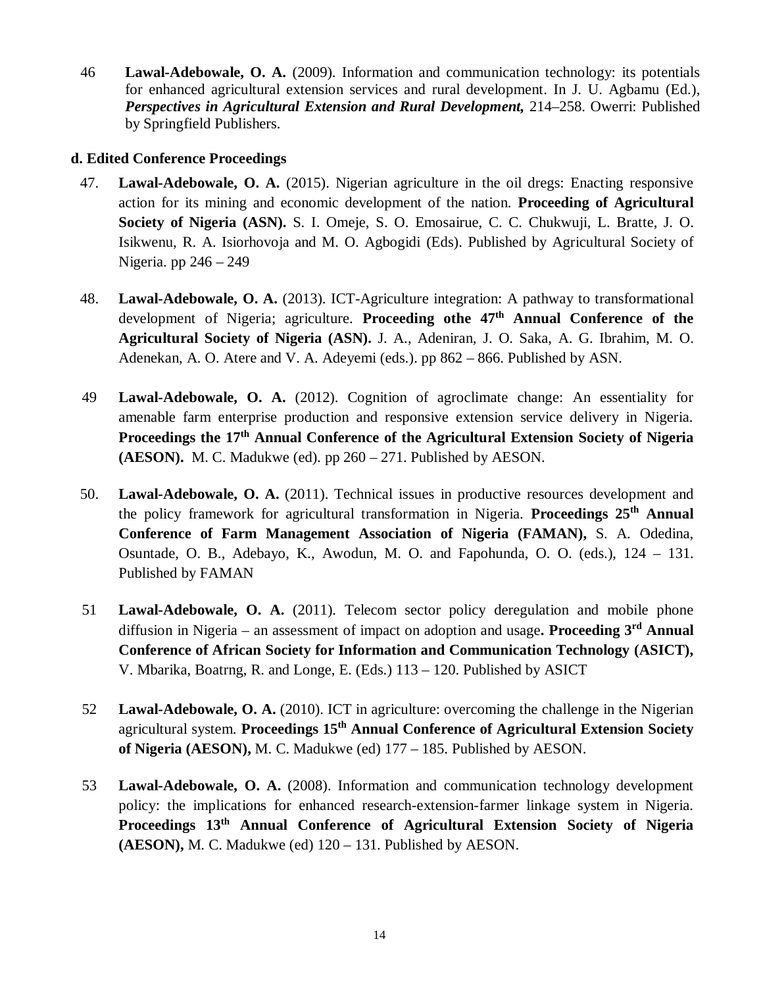46 **Lawal-Adebowale, O. A.** (2009). Information and communication technology: its potentials for enhanced agricultural extension services and rural development. In J. U. Agbamu (Ed.), *Perspectives in Agricultural Extension and Rural Development,* 214–258. Owerri: Published by Springfield Publishers.

## **d. Edited Conference Proceedings**

- 47. **Lawal-Adebowale, O. A.** (2015). Nigerian agriculture in the oil dregs: Enacting responsive action for its mining and economic development of the nation. **Proceeding of Agricultural Society of Nigeria (ASN).** S. I. Omeje, S. O. Emosairue, C. C. Chukwuji, L. Bratte, J. O. Isikwenu, R. A. Isiorhovoja and M. O. Agbogidi (Eds). Published by Agricultural Society of Nigeria. pp 246 – 249
- 48. **Lawal-Adebowale, O. A.** (2013). ICT-Agriculture integration: A pathway to transformational development of Nigeria; agriculture. **Proceeding othe 47th Annual Conference of the Agricultural Society of Nigeria (ASN).** J. A., Adeniran, J. O. Saka, A. G. Ibrahim, M. O. Adenekan, A. O. Atere and V. A. Adeyemi (eds.). pp 862 – 866. Published by ASN.
- 49 **Lawal-Adebowale, O. A.** (2012). Cognition of agroclimate change: An essentiality for amenable farm enterprise production and responsive extension service delivery in Nigeria. **Proceedings the 17th Annual Conference of the Agricultural Extension Society of Nigeria (AESON).** M. C. Madukwe (ed). pp 260 – 271. Published by AESON.
- 50. **Lawal-Adebowale, O. A.** (2011). Technical issues in productive resources development and the policy framework for agricultural transformation in Nigeria. **Proceedings 25th Annual Conference of Farm Management Association of Nigeria (FAMAN),** S. A. Odedina, Osuntade, O. B., Adebayo, K., Awodun, M. O. and Fapohunda, O. O. (eds.), 124 – 131. Published by FAMAN
- 51 **Lawal-Adebowale, O. A.** (2011). Telecom sector policy deregulation and mobile phone diffusion in Nigeria – an assessment of impact on adoption and usage**. Proceeding 3rd Annual Conference of African Society for Information and Communication Technology (ASICT),** V. Mbarika, Boatrng, R. and Longe, E. (Eds.) 113 – 120. Published by ASICT
- 52 **Lawal-Adebowale, O. A.** (2010). ICT in agriculture: overcoming the challenge in the Nigerian agricultural system. **Proceedings 15th Annual Conference of Agricultural Extension Society of Nigeria (AESON),** M. C. Madukwe (ed) 177 – 185. Published by AESON.
- 53 **Lawal-Adebowale, O. A.** (2008). Information and communication technology development policy: the implications for enhanced research-extension-farmer linkage system in Nigeria. **Proceedings 13th Annual Conference of Agricultural Extension Society of Nigeria (AESON),** M. C. Madukwe (ed) 120 – 131. Published by AESON.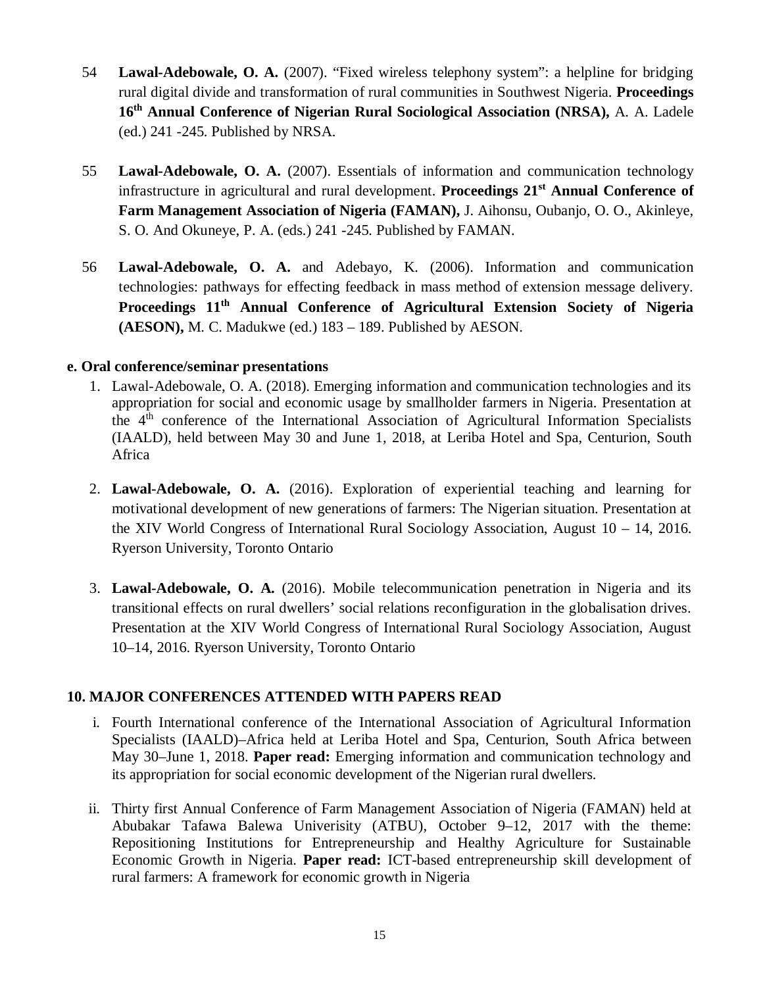- 54 **Lawal-Adebowale, O. A.** (2007). "Fixed wireless telephony system": a helpline for bridging rural digital divide and transformation of rural communities in Southwest Nigeria. **Proceedings 16th Annual Conference of Nigerian Rural Sociological Association (NRSA),** A. A. Ladele (ed.) 241 -245. Published by NRSA.
- 55 **Lawal-Adebowale, O. A.** (2007). Essentials of information and communication technology infrastructure in agricultural and rural development. **Proceedings 21st Annual Conference of Farm Management Association of Nigeria (FAMAN),** J. Aihonsu, Oubanjo, O. O., Akinleye, S. O. And Okuneye, P. A. (eds.) 241 -245. Published by FAMAN.
- 56 **Lawal-Adebowale, O. A.** and Adebayo, K. (2006). Information and communication technologies: pathways for effecting feedback in mass method of extension message delivery. **Proceedings 11th Annual Conference of Agricultural Extension Society of Nigeria (AESON),** M. C. Madukwe (ed.) 183 – 189. Published by AESON.

## **e. Oral conference/seminar presentations**

- 1. Lawal-Adebowale, O. A. (2018). Emerging information and communication technologies and its appropriation for social and economic usage by smallholder farmers in Nigeria. Presentation at the  $4<sup>th</sup>$  conference of the International Association of Agricultural Information Specialists (IAALD), held between May 30 and June 1, 2018, at Leriba Hotel and Spa, Centurion, South Africa
- 2. **Lawal-Adebowale, O. A.** (2016). Exploration of experiential teaching and learning for motivational development of new generations of farmers: The Nigerian situation. Presentation at the XIV World Congress of International Rural Sociology Association, August 10 – 14, 2016. Ryerson University, Toronto Ontario
- 3. **Lawal-Adebowale, O. A.** (2016). Mobile telecommunication penetration in Nigeria and its transitional effects on rural dwellers' social relations reconfiguration in the globalisation drives. Presentation at the XIV World Congress of International Rural Sociology Association, August 10–14, 2016. Ryerson University, Toronto Ontario

## **10. MAJOR CONFERENCES ATTENDED WITH PAPERS READ**

- i. Fourth International conference of the International Association of Agricultural Information Specialists (IAALD)–Africa held at Leriba Hotel and Spa, Centurion, South Africa between May 30–June 1, 2018. **Paper read:** Emerging information and communication technology and its appropriation for social economic development of the Nigerian rural dwellers.
- ii. Thirty first Annual Conference of Farm Management Association of Nigeria (FAMAN) held at Abubakar Tafawa Balewa Univerisity (ATBU), October 9–12, 2017 with the theme: Repositioning Institutions for Entrepreneurship and Healthy Agriculture for Sustainable Economic Growth in Nigeria. **Paper read:** ICT-based entrepreneurship skill development of rural farmers: A framework for economic growth in Nigeria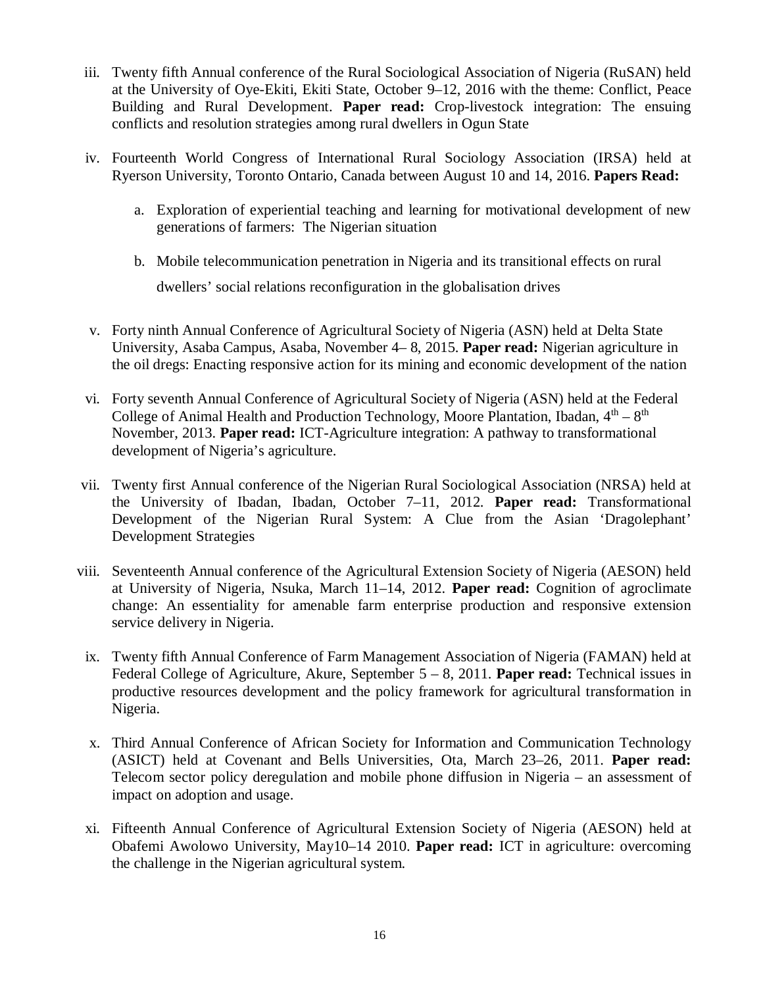- iii. Twenty fifth Annual conference of the Rural Sociological Association of Nigeria (RuSAN) held at the University of Oye-Ekiti, Ekiti State, October 9–12, 2016 with the theme: Conflict, Peace Building and Rural Development. **Paper read:** Crop-livestock integration: The ensuing conflicts and resolution strategies among rural dwellers in Ogun State
- iv. Fourteenth World Congress of International Rural Sociology Association (IRSA) held at Ryerson University, Toronto Ontario, Canada between August 10 and 14, 2016. **Papers Read:** 
	- a. Exploration of experiential teaching and learning for motivational development of new generations of farmers: The Nigerian situation
	- b. Mobile telecommunication penetration in Nigeria and its transitional effects on rural dwellers' social relations reconfiguration in the globalisation drives
- v. Forty ninth Annual Conference of Agricultural Society of Nigeria (ASN) held at Delta State University, Asaba Campus, Asaba, November 4– 8, 2015. **Paper read:** Nigerian agriculture in the oil dregs: Enacting responsive action for its mining and economic development of the nation
- vi. Forty seventh Annual Conference of Agricultural Society of Nigeria (ASN) held at the Federal College of Animal Health and Production Technology, Moore Plantation, Ibadan,  $4<sup>th</sup> - 8<sup>th</sup>$ November, 2013. **Paper read:** ICT-Agriculture integration: A pathway to transformational development of Nigeria's agriculture.
- vii. Twenty first Annual conference of the Nigerian Rural Sociological Association (NRSA) held at the University of Ibadan, Ibadan, October 7–11, 2012. **Paper read:** Transformational Development of the Nigerian Rural System: A Clue from the Asian 'Dragolephant' Development Strategies
- viii. Seventeenth Annual conference of the Agricultural Extension Society of Nigeria (AESON) held at University of Nigeria, Nsuka, March 11–14, 2012. **Paper read:** Cognition of agroclimate change: An essentiality for amenable farm enterprise production and responsive extension service delivery in Nigeria.
	- ix. Twenty fifth Annual Conference of Farm Management Association of Nigeria (FAMAN) held at Federal College of Agriculture, Akure, September 5 – 8, 2011. **Paper read:** Technical issues in productive resources development and the policy framework for agricultural transformation in Nigeria.
	- x. Third Annual Conference of African Society for Information and Communication Technology (ASICT) held at Covenant and Bells Universities, Ota, March 23–26, 2011. **Paper read:** Telecom sector policy deregulation and mobile phone diffusion in Nigeria – an assessment of impact on adoption and usage.
	- xi. Fifteenth Annual Conference of Agricultural Extension Society of Nigeria (AESON) held at Obafemi Awolowo University, May10–14 2010. **Paper read:** ICT in agriculture: overcoming the challenge in the Nigerian agricultural system.